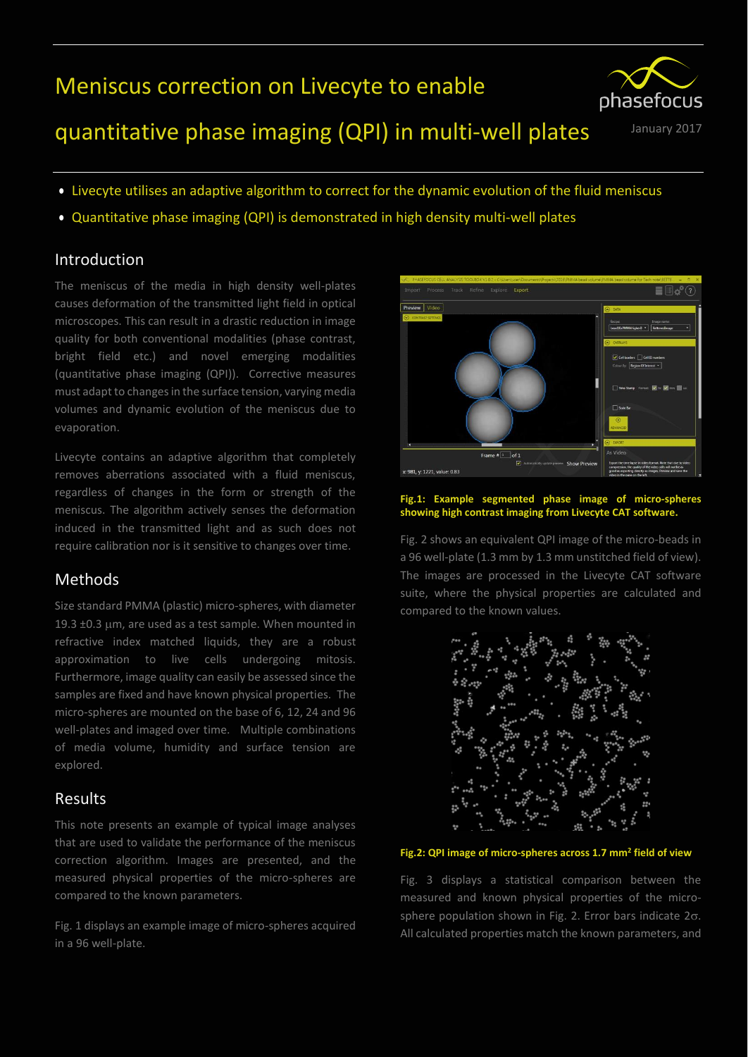# Meniscus correction on Livecyte to enable



# quantitative phase imaging (QPI) in multi-well plates January 2017

- Livecyte utilises an adaptive algorithm to correct for the dynamic evolution of the fluid meniscus
- Quantitative phase imaging (QPI) is demonstrated in high density multi-well plates

### Introduction

The meniscus of the media in high density well-plates causes deformation of the transmitted light field in optical microscopes. This can result in a drastic reduction in image quality for both conventional modalities (phase contrast, bright field etc.) and novel emerging modalities (quantitative phase imaging (QPI)). Corrective measures must adapt to changes in the surface tension, varying media volumes and dynamic evolution of the meniscus due to evaporation.

Livecyte contains an adaptive algorithm that completely removes aberrations associated with a fluid meniscus, regardless of changes in the form or strength of the meniscus. The algorithm actively senses the deformation induced in the transmitted light and as such does not require calibration nor is it sensitive to changes over time.

## Methods

Size standard PMMA (plastic) micro-spheres, with diameter 19.3  $\pm$ 0.3  $\mu$ m, are used as a test sample. When mounted in refractive index matched liquids, they are a robust approximation to live cells undergoing mitosis. Furthermore, image quality can easily be assessed since the samples are fixed and have known physical properties. The micro-spheres are mounted on the base of 6, 12, 24 and 96 well-plates and imaged over time. Multiple combinations of media volume, humidity and surface tension are explored.

## Results

This note presents an example of typical image analyses that are used to validate the performance of the meniscus correction algorithm. Images are presented, and the measured physical properties of the micro-spheres are compared to the known parameters.

Fig. 1 displays an example image of micro-spheres acquired in a 96 well-plate.



#### **Fig.1: Example segmented phase image of micro-spheres showing high contrast imaging from Livecyte CAT software.**

Fig. 2 shows an equivalent QPI image of the micro-beads in a 96 well-plate (1.3 mm by 1.3 mm unstitched field of view). The images are processed in the Livecyte CAT software suite, where the physical properties are calculated and compared to the known values.



#### **Fig.2: QPI image of micro-spheres across 1.7 mm<sup>2</sup> field of view**

Fig. 3 displays a statistical comparison between the measured and known physical properties of the microsphere population shown in Fig. 2. Error bars indicate  $2\sigma$ . All calculated properties match the known parameters, and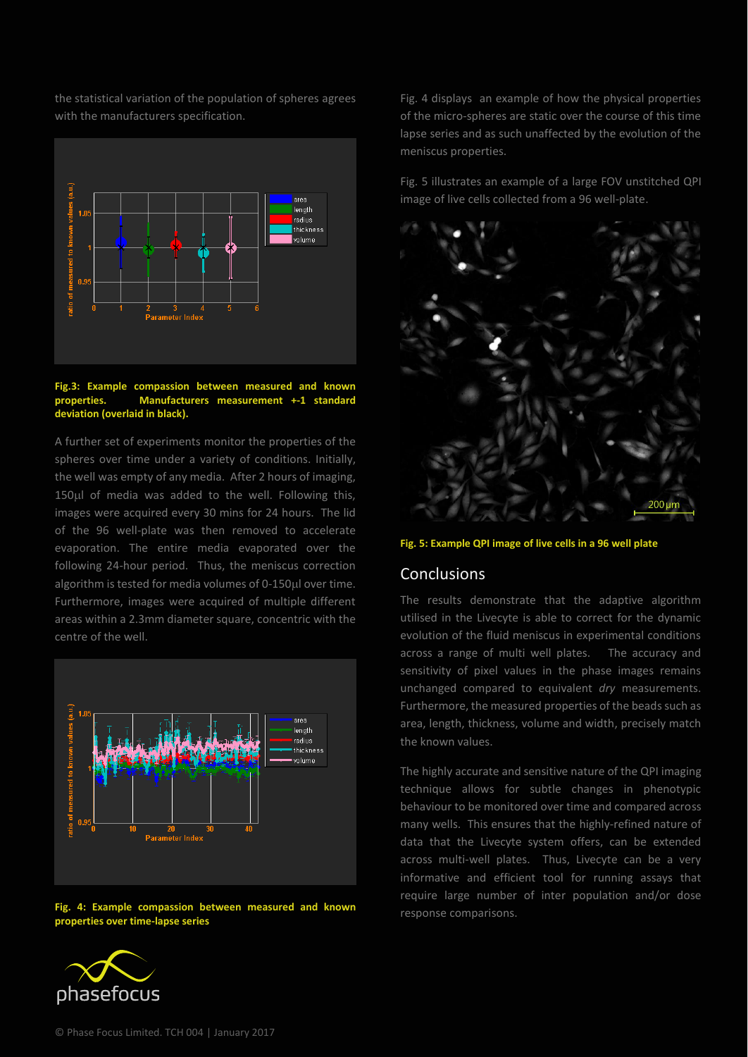the statistical variation of the population of spheres agrees with the manufacturers specification.



#### **Fig.3: Example compassion between measured and known properties. Manufacturers measurement +-1 standard deviation (overlaid in black).**

A further set of experiments monitor the properties of the spheres over time under a variety of conditions. Initially, the well was empty of any media. After 2 hours of imaging, 150µl of media was added to the well. Following this, images were acquired every 30 mins for 24 hours. The lid of the 96 well-plate was then removed to accelerate evaporation. The entire media evaporated over the following 24-hour period. Thus, the meniscus correction algorithm is tested for media volumes of 0-150µl over time. Furthermore, images were acquired of multiple different areas within a 2.3mm diameter square, concentric with the centre of the well.



**Fig. 4: Example compassion between measured and known properties over time-lapse series**



Fig. 4 displays an example of how the physical properties of the micro-spheres are static over the course of this time lapse series and as such unaffected by the evolution of the meniscus properties.

Fig. 5 illustrates an example of a large FOV unstitched QPI image of live cells collected from a 96 well-plate.



#### **Fig. 5: Example QPI image of live cells in a 96 well plate**

### **Conclusions**

The results demonstrate that the adaptive algorithm utilised in the Livecyte is able to correct for the dynamic evolution of the fluid meniscus in experimental conditions across a range of multi well plates. The accuracy and sensitivity of pixel values in the phase images remains unchanged compared to equivalent *dry* measurements. Furthermore, the measured properties of the beads such as area, length, thickness, volume and width, precisely match the known values.

The highly accurate and sensitive nature of the QPI imaging technique allows for subtle changes in phenotypic behaviour to be monitored over time and compared across many wells. This ensures that the highly-refined nature of data that the Livecyte system offers, can be extended across multi-well plates. Thus, Livecyte can be a very informative and efficient tool for running assays that require large number of inter population and/or dose response comparisons.